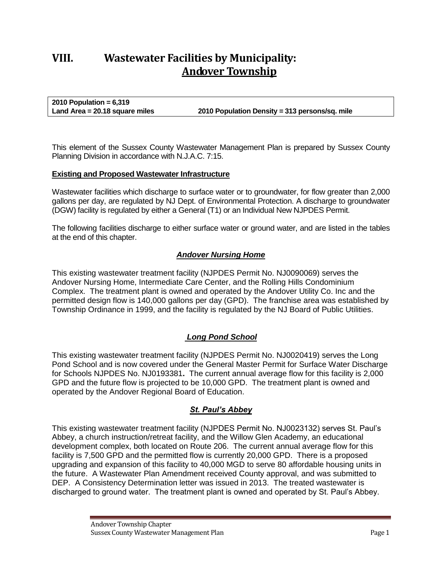# **VIII. Wastewater Facilities by Municipality: Andover Township**

**2010 Population = 6,319 Land Area = 20.18 square miles 2010 Population Density = 313 persons/sq. mile**

This element of the Sussex County Wastewater Management Plan is prepared by Sussex County Planning Division in accordance with N.J.A.C. 7:15.

#### **Existing and Proposed Wastewater Infrastructure**

Wastewater facilities which discharge to surface water or to groundwater, for flow greater than 2,000 gallons per day, are regulated by NJ Dept. of Environmental Protection. A discharge to groundwater (DGW) facility is regulated by either a General (T1) or an Individual New NJPDES Permit.

The following facilities discharge to either surface water or ground water, and are listed in the tables at the end of this chapter.

### *Andover Nursing Home*

This existing wastewater treatment facility (NJPDES Permit No. NJ0090069) serves the Andover Nursing Home, Intermediate Care Center, and the Rolling Hills Condominium Complex. The treatment plant is owned and operated by the Andover Utility Co. Inc and the permitted design flow is 140,000 gallons per day (GPD). The franchise area was established by Township Ordinance in 1999, and the facility is regulated by the NJ Board of Public Utilities.

### *Long Pond School*

This existing wastewater treatment facility (NJPDES Permit No. NJ0020419) serves the Long Pond School and is now covered under the General Master Permit for Surface Water Discharge for Schools NJPDES No. NJ0193381**.** The current annual average flow for this facility is 2,000 GPD and the future flow is projected to be 10,000 GPD. The treatment plant is owned and operated by the Andover Regional Board of Education.

### *St. Paul's Abbey*

This existing wastewater treatment facility (NJPDES Permit No. NJ0023132) serves St. Paul's Abbey, a church instruction/retreat facility, and the Willow Glen Academy, an educational development complex, both located on Route 206. The current annual average flow for this facility is 7,500 GPD and the permitted flow is currently 20,000 GPD. There is a proposed upgrading and expansion of this facility to 40,000 MGD to serve 80 affordable housing units in the future. A Wastewater Plan Amendment received County approval, and was submitted to DEP. A Consistency Determination letter was issued in 2013. The treated wastewater is discharged to ground water. The treatment plant is owned and operated by St. Paul's Abbey.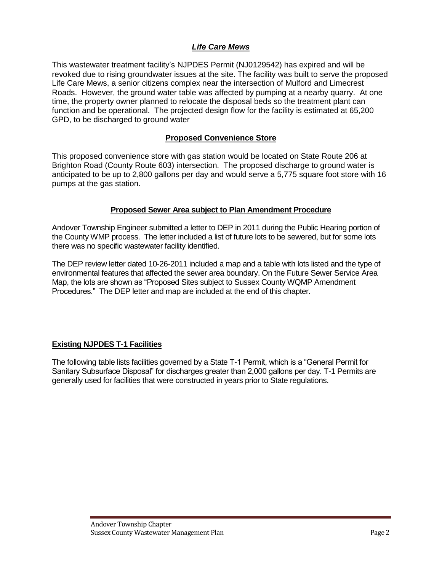### *Life Care Mews*

This wastewater treatment facility's NJPDES Permit (NJ0129542) has expired and will be revoked due to rising groundwater issues at the site. The facility was built to serve the proposed Life Care Mews, a senior citizens complex near the intersection of Mulford and Limecrest Roads. However, the ground water table was affected by pumping at a nearby quarry. At one time, the property owner planned to relocate the disposal beds so the treatment plant can function and be operational. The projected design flow for the facility is estimated at 65,200 GPD, to be discharged to ground water

### **Proposed Convenience Store**

This proposed convenience store with gas station would be located on State Route 206 at Brighton Road (County Route 603) intersection. The proposed discharge to ground water is anticipated to be up to 2,800 gallons per day and would serve a 5,775 square foot store with 16 pumps at the gas station.

### **Proposed Sewer Area subject to Plan Amendment Procedure**

Andover Township Engineer submitted a letter to DEP in 2011 during the Public Hearing portion of the County WMP process. The letter included a list of future lots to be sewered, but for some lots there was no specific wastewater facility identified.

The DEP review letter dated 10-26-2011 included a map and a table with lots listed and the type of environmental features that affected the sewer area boundary. On the Future Sewer Service Area Map, the lots are shown as "Proposed Sites subject to Sussex County WQMP Amendment Procedures." The DEP letter and map are included at the end of this chapter.

### **Existing NJPDES T-1 Facilities**

The following table lists facilities governed by a State T-1 Permit, which is a "General Permit for Sanitary Subsurface Disposal" for discharges greater than 2,000 gallons per day. T-1 Permits are generally used for facilities that were constructed in years prior to State regulations.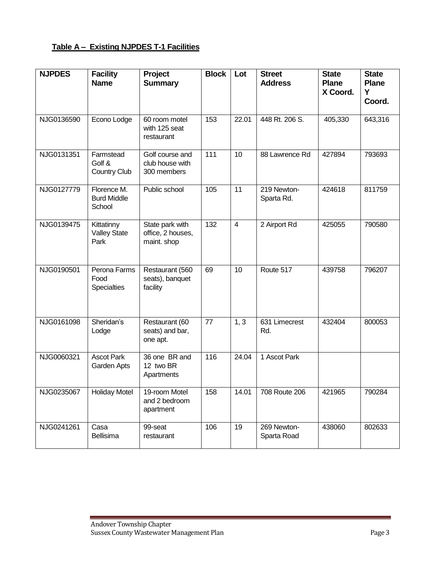## **Table A – Existing NJPDES T-1 Facilities**

| <b>NJPDES</b> | <b>Facility</b><br><b>Name</b>              | Project<br><b>Summary</b>                           | <b>Block</b> | Lot            | <b>Street</b><br><b>Address</b> | <b>State</b><br><b>Plane</b><br>X Coord. | <b>State</b><br><b>Plane</b><br>Y<br>Coord. |
|---------------|---------------------------------------------|-----------------------------------------------------|--------------|----------------|---------------------------------|------------------------------------------|---------------------------------------------|
| NJG0136590    | Econo Lodge                                 | 60 room motel<br>with 125 seat<br>restaurant        | 153          | 22.01          | 448 Rt. 206 S.                  | 405,330                                  | 643,316                                     |
| NJG0131351    | Farmstead<br>Golf &<br><b>Country Club</b>  | Golf course and<br>club house with<br>300 members   | 111          | 10             | 88 Lawrence Rd                  | 427894                                   | 793693                                      |
| NJG0127779    | Florence M.<br><b>Burd Middle</b><br>School | Public school                                       | 105          | 11             | 219 Newton-<br>Sparta Rd.       | 424618                                   | 811759                                      |
| NJG0139475    | Kittatinny<br><b>Valley State</b><br>Park   | State park with<br>office, 2 houses,<br>maint. shop | 132          | $\overline{4}$ | 2 Airport Rd                    | 425055                                   | 790580                                      |
| NJG0190501    | Perona Farms<br>Food<br><b>Specialties</b>  | Restaurant (560<br>seats), banquet<br>facility      | 69           | 10             | Route 517                       | 439758                                   | 796207                                      |
| NJG0161098    | Sheridan's<br>Lodge                         | Restaurant (60<br>seats) and bar,<br>one apt.       | 77           | 1, 3           | 631 Limecrest<br>Rd.            | 432404                                   | 800053                                      |
| NJG0060321    | <b>Ascot Park</b><br>Garden Apts            | 36 one BR and<br>12 two BR<br>Apartments            | 116          | 24.04          | 1 Ascot Park                    |                                          |                                             |
| NJG0235067    | <b>Holiday Motel</b>                        | 19-room Motel<br>and 2 bedroom<br>apartment         | 158          | 14.01          | 708 Route 206                   | 421965                                   | 790284                                      |
| NJG0241261    | Casa<br>Bellisima                           | 99-seat<br>restaurant                               | 106          | 19             | 269 Newton-<br>Sparta Road      | 438060                                   | 802633                                      |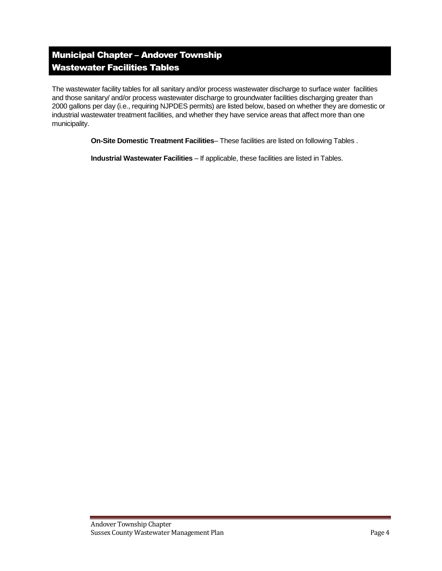# Municipal Chapter – Andover Township Wastewater Facilities Tables

The wastewater facility tables for all sanitary and/or process wastewater discharge to surface water facilities and those sanitary/ and/or process wastewater discharge to groundwater facilities discharging greater than 2000 gallons per day (i.e., requiring NJPDES permits) are listed below, based on whether they are domestic or industrial wastewater treatment facilities, and whether they have service areas that affect more than one municipality.

**On-Site Domestic Treatment Facilities**– These facilities are listed on following Tables .

**Industrial Wastewater Facilities** – If applicable, these facilities are listed in Tables.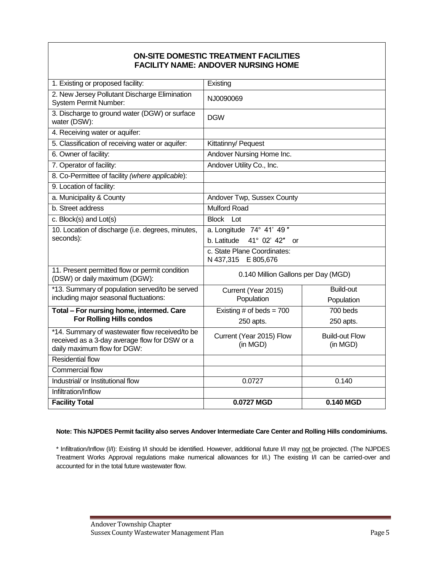### **ON-SITE DOMESTIC TREATMENT FACILITIES FACILITY NAME: ANDOVER NURSING HOME**

| 1. Existing or proposed facility:                                                                                              | Existing                                           |                                   |  |
|--------------------------------------------------------------------------------------------------------------------------------|----------------------------------------------------|-----------------------------------|--|
| 2. New Jersey Pollutant Discharge Elimination<br><b>System Permit Number:</b>                                                  | NJ0090069                                          |                                   |  |
| 3. Discharge to ground water (DGW) or surface<br>water (DSW):                                                                  | <b>DGW</b>                                         |                                   |  |
| 4. Receiving water or aquifer:                                                                                                 |                                                    |                                   |  |
| 5. Classification of receiving water or aquifer:                                                                               | Kittatinny/ Pequest                                |                                   |  |
| 6. Owner of facility:                                                                                                          | Andover Nursing Home Inc.                          |                                   |  |
| 7. Operator of facility:                                                                                                       | Andover Utility Co., Inc.                          |                                   |  |
| 8. Co-Permittee of facility (where applicable):                                                                                |                                                    |                                   |  |
| 9. Location of facility:                                                                                                       |                                                    |                                   |  |
| a. Municipality & County                                                                                                       | Andover Twp, Sussex County                         |                                   |  |
| b. Street address                                                                                                              | <b>Mulford Road</b>                                |                                   |  |
| c. Block(s) and Lot(s)                                                                                                         | Lot<br><b>Block</b>                                |                                   |  |
| 10. Location of discharge (i.e. degrees, minutes,                                                                              | a. Longitude 74° 41' 49"                           |                                   |  |
| seconds):                                                                                                                      | b. Latitude<br>41° 02' 42" or                      |                                   |  |
|                                                                                                                                | c. State Plane Coordinates:<br>N 437,315 E 805,676 |                                   |  |
| 11. Present permitted flow or permit condition<br>(DSW) or daily maximum (DGW):                                                | 0.140 Million Gallons per Day (MGD)                |                                   |  |
| *13. Summary of population served/to be served                                                                                 | Current (Year 2015)                                | <b>Build-out</b>                  |  |
| including major seasonal fluctuations:                                                                                         | Population                                         | Population                        |  |
| Total - For nursing home, intermed. Care                                                                                       | Existing # of beds = $700$                         | 700 beds                          |  |
| <b>For Rolling Hills condos</b>                                                                                                | 250 apts.                                          | 250 apts.                         |  |
| *14. Summary of wastewater flow received/to be<br>received as a 3-day average flow for DSW or a<br>daily maximum flow for DGW: | Current (Year 2015) Flow<br>(in MGD)               | <b>Build-out Flow</b><br>(in MGD) |  |
| <b>Residential flow</b>                                                                                                        |                                                    |                                   |  |
| <b>Commercial flow</b>                                                                                                         |                                                    |                                   |  |
| Industrial/ or Institutional flow                                                                                              | 0.0727                                             | 0.140                             |  |
| Infiltration/Inflow                                                                                                            |                                                    |                                   |  |
| <b>Facility Total</b>                                                                                                          | 0.0727 MGD                                         | 0.140 MGD                         |  |

#### **Note: This NJPDES Permit facility also serves Andover Intermediate Care Center and Rolling Hills condominiums.**

\* Infiltration/Inflow (I/I): Existing I/I should be identified. However, additional future I/I may not be projected. (The NJPDES Treatment Works Approval regulations make numerical allowances for I/I.) The existing I/I can be carried-over and accounted for in the total future wastewater flow.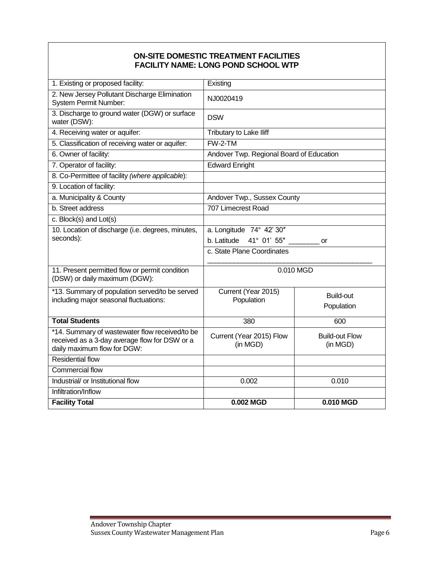### **ON-SITE DOMESTIC TREATMENT FACILITIES FACILITY NAME: LONG POND SCHOOL WTP**

| 1. Existing or proposed facility:                                                               | Existing                                 |                       |  |
|-------------------------------------------------------------------------------------------------|------------------------------------------|-----------------------|--|
| 2. New Jersey Pollutant Discharge Elimination<br>System Permit Number:                          | NJ0020419                                |                       |  |
| 3. Discharge to ground water (DGW) or surface<br>water (DSW):                                   | <b>DSW</b>                               |                       |  |
| 4. Receiving water or aquifer:                                                                  | Tributary to Lake Iliff                  |                       |  |
| 5. Classification of receiving water or aquifer:                                                | FW-2-TM                                  |                       |  |
| 6. Owner of facility:                                                                           | Andover Twp. Regional Board of Education |                       |  |
| 7. Operator of facility:                                                                        | <b>Edward Enright</b>                    |                       |  |
| 8. Co-Permittee of facility (where applicable):                                                 |                                          |                       |  |
| 9. Location of facility:                                                                        |                                          |                       |  |
| a. Municipality & County                                                                        | Andover Twp., Sussex County              |                       |  |
| b. Street address                                                                               | 707 Limecrest Road                       |                       |  |
| c. Block(s) and Lot(s)                                                                          |                                          |                       |  |
| 10. Location of discharge (i.e. degrees, minutes,                                               | a. Longitude 74° 42' 30"                 |                       |  |
| seconds):                                                                                       | b. Latitude<br>41° 01' 55"<br>or         |                       |  |
|                                                                                                 | c. State Plane Coordinates               |                       |  |
| 11. Present permitted flow or permit condition<br>(DSW) or daily maximum (DGW):                 | 0.010 MGD                                |                       |  |
| *13. Summary of population served/to be served                                                  | Current (Year 2015)<br>Population        | Build-out             |  |
| including major seasonal fluctuations:                                                          |                                          | Population            |  |
|                                                                                                 |                                          |                       |  |
| <b>Total Students</b>                                                                           | 380                                      | 600                   |  |
| *14. Summary of wastewater flow received/to be<br>received as a 3-day average flow for DSW or a | Current (Year 2015) Flow                 | <b>Build-out Flow</b> |  |
| daily maximum flow for DGW:                                                                     | (in MGD)                                 | (in MGD)              |  |
| <b>Residential flow</b>                                                                         |                                          |                       |  |
| <b>Commercial flow</b>                                                                          |                                          |                       |  |
| Industrial/ or Institutional flow                                                               | 0.002                                    | 0.010                 |  |
| Infiltration/Inflow                                                                             |                                          |                       |  |
| <b>Facility Total</b>                                                                           | 0.002 MGD                                | 0.010 MGD             |  |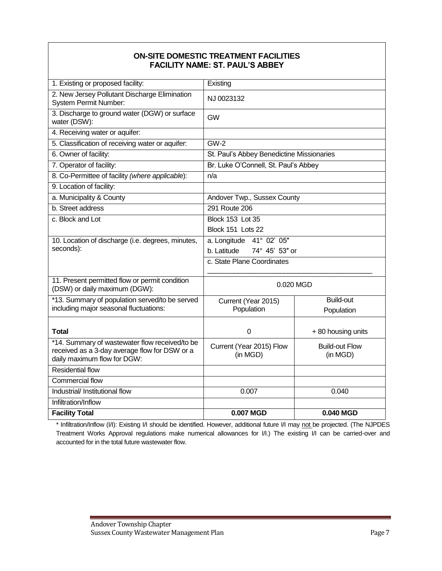### **ON-SITE DOMESTIC TREATMENT FACILITIES FACILITY NAME: ST. PAUL'S ABBEY**

| 1. Existing or proposed facility:                                                                                              | Existing                                  |                                   |  |
|--------------------------------------------------------------------------------------------------------------------------------|-------------------------------------------|-----------------------------------|--|
| 2. New Jersey Pollutant Discharge Elimination<br>System Permit Number:                                                         | NJ 0023132                                |                                   |  |
| 3. Discharge to ground water (DGW) or surface<br>water (DSW):                                                                  | <b>GW</b>                                 |                                   |  |
| 4. Receiving water or aquifer:                                                                                                 |                                           |                                   |  |
| 5. Classification of receiving water or aquifer:                                                                               | <b>GW-2</b>                               |                                   |  |
| 6. Owner of facility:                                                                                                          | St. Paul's Abbey Benedictine Missionaries |                                   |  |
| 7. Operator of facility:                                                                                                       | Br. Luke O'Connell, St. Paul's Abbey      |                                   |  |
| 8. Co-Permittee of facility (where applicable):                                                                                | n/a                                       |                                   |  |
| 9. Location of facility:                                                                                                       |                                           |                                   |  |
| a. Municipality & County                                                                                                       | Andover Twp., Sussex County               |                                   |  |
| b. Street address                                                                                                              | 291 Route 206                             |                                   |  |
| c. Block and Lot                                                                                                               | <b>Block 153 Lot 35</b>                   |                                   |  |
|                                                                                                                                | Block 151 Lots 22                         |                                   |  |
| 10. Location of discharge (i.e. degrees, minutes,                                                                              | a. Longitude 41° 02' 05"                  |                                   |  |
| seconds):                                                                                                                      | b. Latitude<br>74° 45' 53" or             |                                   |  |
|                                                                                                                                | c. State Plane Coordinates                |                                   |  |
| 11. Present permitted flow or permit condition<br>(DSW) or daily maximum (DGW):                                                | 0.020 MGD                                 |                                   |  |
| *13. Summary of population served/to be served                                                                                 | Current (Year 2015)                       | <b>Build-out</b>                  |  |
| including major seasonal fluctuations:                                                                                         | Population                                | Population                        |  |
| Total                                                                                                                          | 0                                         | +80 housing units                 |  |
| *14. Summary of wastewater flow received/to be<br>received as a 3-day average flow for DSW or a<br>daily maximum flow for DGW: | Current (Year 2015) Flow<br>(in MGD)      | <b>Build-out Flow</b><br>(in MGD) |  |
| <b>Residential flow</b>                                                                                                        |                                           |                                   |  |
| <b>Commercial flow</b>                                                                                                         |                                           |                                   |  |
| Industrial/ Institutional flow                                                                                                 | 0.007                                     | 0.040                             |  |
| Infiltration/Inflow                                                                                                            |                                           |                                   |  |
| <b>Facility Total</b>                                                                                                          | 0.007 MGD                                 | 0.040 MGD                         |  |

\* Infiltration/Inflow (I/I): Existing I/I should be identified. However, additional future I/I may not be projected. (The NJPDES Treatment Works Approval regulations make numerical allowances for I/I.) The existing I/I can be carried-over and accounted for in the total future wastewater flow.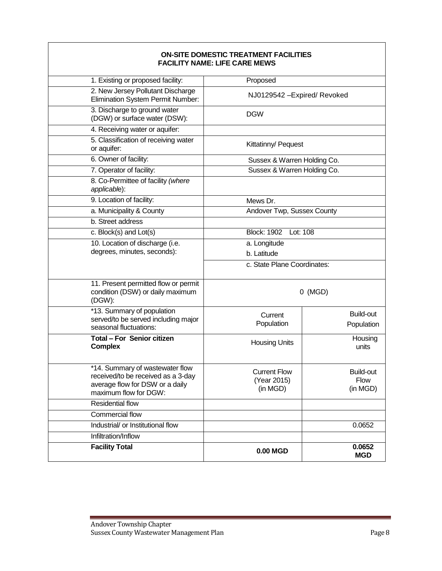#### **ON-SITE DOMESTIC TREATMENT FACILITIES FACILITY NAME: LIFE CARE MEWS**

| 1. Existing or proposed facility:                                                  | Proposed                       |                              |  |
|------------------------------------------------------------------------------------|--------------------------------|------------------------------|--|
| 2. New Jersey Pollutant Discharge<br>Elimination System Permit Number:             |                                | NJ0129542 - Expired/ Revoked |  |
| 3. Discharge to ground water<br>(DGW) or surface water (DSW):                      | <b>DGW</b>                     |                              |  |
| 4. Receiving water or aquifer:                                                     |                                |                              |  |
| 5. Classification of receiving water<br>or aquifer:                                | Kittatinny/ Pequest            |                              |  |
| 6. Owner of facility:                                                              | Sussex & Warren Holding Co.    |                              |  |
| 7. Operator of facility:                                                           |                                | Sussex & Warren Holding Co.  |  |
| 8. Co-Permittee of facility (where<br>applicable):                                 |                                |                              |  |
| 9. Location of facility:                                                           | Mews Dr.                       |                              |  |
| a. Municipality & County                                                           |                                | Andover Twp, Sussex County   |  |
| b. Street address                                                                  |                                |                              |  |
| c. Block(s) and Lot(s)                                                             | <b>Block: 1902</b><br>Lot: 108 |                              |  |
| 10. Location of discharge (i.e.                                                    | a. Longitude                   |                              |  |
| degrees, minutes, seconds):                                                        | b. Latitude                    |                              |  |
|                                                                                    | c. State Plane Coordinates:    |                              |  |
| 11. Present permitted flow or permit<br>condition (DSW) or daily maximum<br>(DGW): |                                | $0$ (MGD)                    |  |
| *13. Summary of population                                                         | Current                        | Build-out                    |  |
| served/to be served including major<br>seasonal fluctuations:                      | Population                     | Population                   |  |
| Total - For Senior citizen                                                         |                                | Housing                      |  |
| <b>Complex</b>                                                                     | <b>Housing Units</b>           | units                        |  |
|                                                                                    |                                |                              |  |
| *14. Summary of wastewater flow                                                    | <b>Current Flow</b>            | Build-out                    |  |
| received/to be received as a 3-day                                                 | (Year 2015)                    | Flow                         |  |
| average flow for DSW or a daily<br>maximum flow for DGW:                           | (in MGD)                       | (in MGD)                     |  |
| <b>Residential flow</b>                                                            |                                |                              |  |
| <b>Commercial flow</b>                                                             |                                |                              |  |
| Industrial/ or Institutional flow                                                  |                                | 0.0652                       |  |
| Infiltration/Inflow                                                                |                                |                              |  |
| <b>Facility Total</b>                                                              |                                | 0.0652                       |  |
|                                                                                    | 0.00 MGD                       | <b>MGD</b>                   |  |